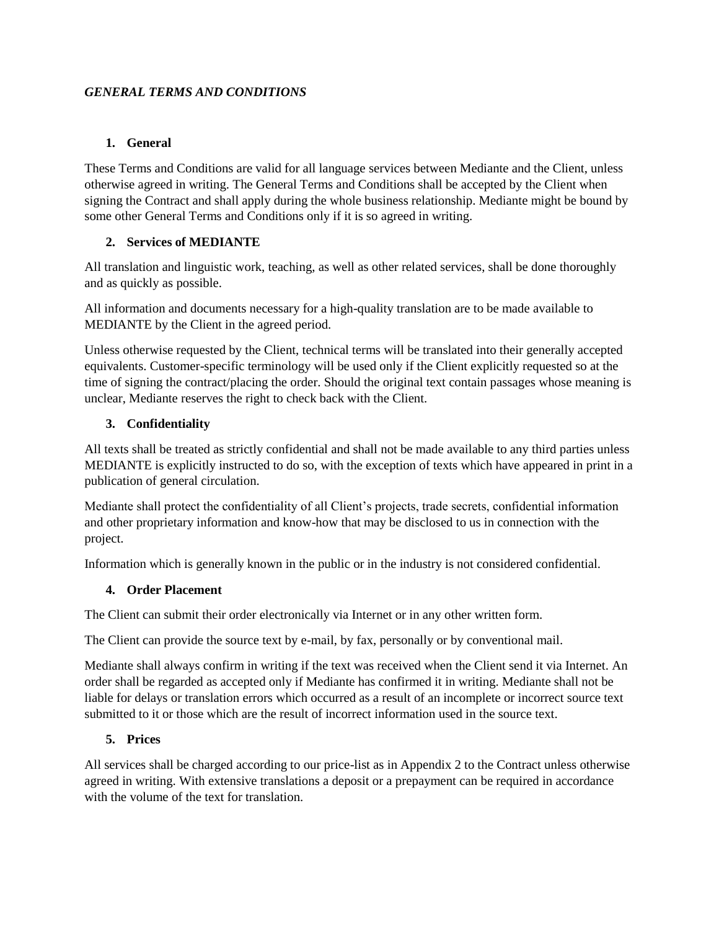#### *GENERAL TERMS AND CONDITIONS*

### **1. General**

These Terms and Conditions are valid for all language services between Mediante and the Client, unless otherwise agreed in writing. The General Terms and Conditions shall be accepted by the Client when signing the Contract and shall apply during the whole business relationship. Mediante might be bound by some other General Terms and Conditions only if it is so agreed in writing.

# **2. Services of MEDIANTE**

All translation and linguistic work, teaching, as well as other related services, shall be done thoroughly and as quickly as possible.

All information and documents necessary for a high-quality translation are to be made available to MEDIANTE by the Client in the agreed period.

Unless otherwise requested by the Client, technical terms will be translated into their generally accepted equivalents. Customer-specific terminology will be used only if the Client explicitly requested so at the time of signing the contract/placing the order. Should the original text contain passages whose meaning is unclear, Mediante reserves the right to check back with the Client.

# **3. Confidentiality**

All texts shall be treated as strictly confidential and shall not be made available to any third parties unless MEDIANTE is explicitly instructed to do so, with the exception of texts which have appeared in print in a publication of general circulation.

Mediante shall protect the confidentiality of all Client's projects, trade secrets, confidential information and other proprietary information and know-how that may be disclosed to us in connection with the project.

Information which is generally known in the public or in the industry is not considered confidential.

### **4. Order Placement**

The Client can submit their order electronically via Internet or in any other written form.

The Client can provide the source text by e-mail, by fax, personally or by conventional mail.

Mediante shall always confirm in writing if the text was received when the Client send it via Internet. An order shall be regarded as accepted only if Mediante has confirmed it in writing. Mediante shall not be liable for delays or translation errors which occurred as a result of an incomplete or incorrect source text submitted to it or those which are the result of incorrect information used in the source text.

### **5. Prices**

All services shall be charged according to our price-list as in Appendix 2 to the Contract unless otherwise agreed in writing. With extensive translations a deposit or a prepayment can be required in accordance with the volume of the text for translation.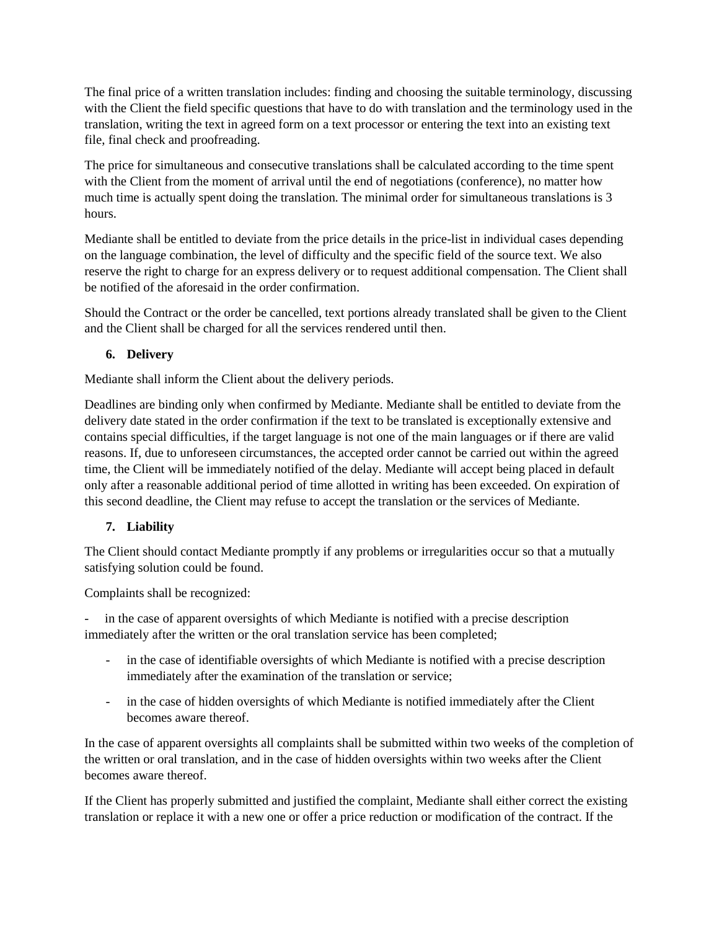The final price of a written translation includes: finding and choosing the suitable terminology, discussing with the Client the field specific questions that have to do with translation and the terminology used in the translation, writing the text in agreed form on a text processor or entering the text into an existing text file, final check and proofreading.

The price for simultaneous and consecutive translations shall be calculated according to the time spent with the Client from the moment of arrival until the end of negotiations (conference), no matter how much time is actually spent doing the translation. The minimal order for simultaneous translations is 3 hours.

Mediante shall be entitled to deviate from the price details in the price-list in individual cases depending on the language combination, the level of difficulty and the specific field of the source text. We also reserve the right to charge for an express delivery or to request additional compensation. The Client shall be notified of the aforesaid in the order confirmation.

Should the Contract or the order be cancelled, text portions already translated shall be given to the Client and the Client shall be charged for all the services rendered until then.

### **6. Delivery**

Mediante shall inform the Client about the delivery periods.

Deadlines are binding only when confirmed by Mediante. Mediante shall be entitled to deviate from the delivery date stated in the order confirmation if the text to be translated is exceptionally extensive and contains special difficulties, if the target language is not one of the main languages or if there are valid reasons. If, due to unforeseen circumstances, the accepted order cannot be carried out within the agreed time, the Client will be immediately notified of the delay. Mediante will accept being placed in default only after a reasonable additional period of time allotted in writing has been exceeded. On expiration of this second deadline, the Client may refuse to accept the translation or the services of Mediante.

### **7. Liability**

The Client should contact Mediante promptly if any problems or irregularities occur so that a mutually satisfying solution could be found.

Complaints shall be recognized:

in the case of apparent oversights of which Mediante is notified with a precise description immediately after the written or the oral translation service has been completed;

- in the case of identifiable oversights of which Mediante is notified with a precise description immediately after the examination of the translation or service;
- in the case of hidden oversights of which Mediante is notified immediately after the Client becomes aware thereof.

In the case of apparent oversights all complaints shall be submitted within two weeks of the completion of the written or oral translation, and in the case of hidden oversights within two weeks after the Client becomes aware thereof.

If the Client has properly submitted and justified the complaint, Mediante shall either correct the existing translation or replace it with a new one or offer a price reduction or modification of the contract. If the